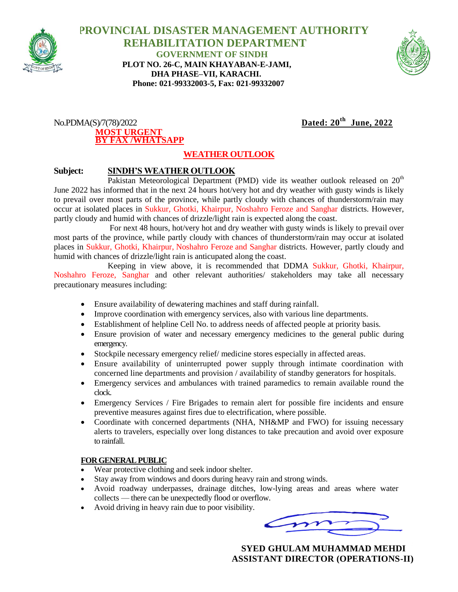

 **PROVINCIAL DISASTER MANAGEMENT AUTHORITY REHABILITATION DEPARTMENT GOVERNMENT OF SINDH PLOT NO. 26-C, MAIN KHAYABAN-E-JAMI, DHA PHASE–VII, KARACHI. Phone: 021-99332003-5, Fax: 021-99332007**



 $No.PDMA(S)/7(78)/2022$ **MOST URGENT BY FAX /WHATSAPP**

## Dated:  $20^{th}$  June, 2022

## **WEATHER OUTLOOK**

## **Subject: SINDH'S WEATHER OUTLOOK**

Pakistan Meteorological Department (PMD) vide its weather outlook released on  $20<sup>th</sup>$ June 2022 has informed that in the next 24 hours hot/very hot and dry weather with gusty winds is likely to prevail over most parts of the province, while partly cloudy with chances of thunderstorm/rain may occur at isolated places in Sukkur, Ghotki, Khairpur, Noshahro Feroze and Sanghar districts. However, partly cloudy and humid with chances of drizzle/light rain is expected along the coast.

For next 48 hours, hot/very hot and dry weather with gusty winds is likely to prevail over most parts of the province, while partly cloudy with chances of thunderstorm/rain may occur at isolated places in Sukkur, Ghotki, Khairpur, Noshahro Feroze and Sanghar districts. However, partly cloudy and humid with chances of drizzle/light rain is anticupated along the coast.

 Keeping in view above, it is recommended that DDMA Sukkur, Ghotki, Khairpur, Noshahro Feroze, Sanghar and other relevant authorities/ stakeholders may take all necessary precautionary measures including:

- Ensure availability of dewatering machines and staff during rainfall.
- Improve coordination with emergency services, also with various line departments.
- Establishment of helpline Cell No. to address needs of affected people at priority basis.
- Ensure provision of water and necessary emergency medicines to the general public during emergency.
- Stockpile necessary emergency relief/ medicine stores especially in affected areas.
- Ensure availability of uninterrupted power supply through intimate coordination with concerned line departments and provision / availability of standby generators for hospitals.
- Emergency services and ambulances with trained paramedics to remain available round the clock.
- Emergency Services / Fire Brigades to remain alert for possible fire incidents and ensure preventive measures against fires due to electrification, where possible.
- Coordinate with concerned departments (NHA, NH&MP and FWO) for issuing necessary alerts to travelers, especially over long distances to take precaution and avoid over exposure to rainfall.

## **FOR GENERAL PUBLIC**

- Wear protective clothing and seek indoor shelter.
- Stay away from windows and doors during heavy rain and strong winds.
- Avoid roadway underpasses, drainage ditches, low-lying areas and areas where water collects — there can be unexpectedly flood or overflow.
- Avoid driving in heavy rain due to poor visibility.

 **SYED GHULAM MUHAMMAD MEHDI ASSISTANT DIRECTOR (OPERATIONS-II)**